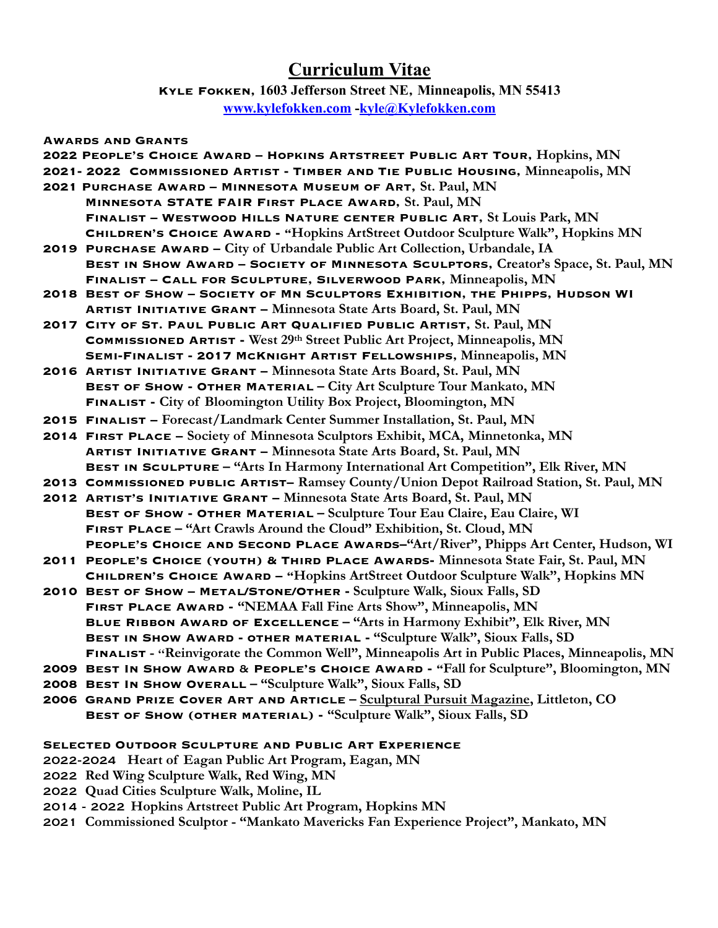# **Curriculum Vitae**

**Kyle Fokken, 1603 Jefferson Street NE, Minneapolis, MN 55413 [www.kylefokken.com](http://www.kylefokken.com) -[kyle@Kylefokken.com](mailto:kyle@Kylefokken.com)**

#### **Awards and Grants**

**2022 People's Choice Award – Hopkins Artstreet Public Art Tour, Hopkins, MN 2021- 2022 Commissioned Artist - Timber and Tie Public Housing, Minneapolis, MN 2021 Purchase Award – Minnesota Museum of Art, St. Paul, MN Minnesota STATE FAIR First Place Award, St. Paul, MN Finalist – Westwood Hills Nature center Public Art, St Louis Park, MN Children's Choice Award - "Hopkins ArtStreet Outdoor Sculpture Walk", Hopkins MN 2019 Purchase Award – City of Urbandale Public Art Collection, Urbandale, IA Best in Show Award – Society of Minnesota Sculptors, Creator's Space, St. Paul, MN Finalist – Call for Sculpture, Silverwood Park, Minneapolis, MN 2018 Best of Show – Society of Mn Sculptors Exhibition, the Phipps, Hudson WI Artist Initiative Grant – Minnesota State Arts Board, St. Paul, MN 2017 City of St. Paul Public Art Qualified Public Artist, St. Paul, MN Commissioned Artist - West 29th Street Public Art Project, Minneapolis, MN Semi-Finalist - 2017 McKnight Artist Fellowships, Minneapolis, MN 2016 Artist Initiative Grant – Minnesota State Arts Board, St. Paul, MN Best of Show - Other Material – City Art Sculpture Tour Mankato, MN Finalist - City of Bloomington Utility Box Project, Bloomington, MN 2015 Finalist – Forecast/Landmark Center Summer Installation, St. Paul, MN 2014 First Place – Society of Minnesota Sculptors Exhibit, MCA, Minnetonka, MN Artist Initiative Grant – Minnesota State Arts Board, St. Paul, MN Best in Sculpture – "Arts In Harmony International Art Competition", Elk River, MN 2013 Commissioned public Artist– Ramsey County/Union Depot Railroad Station, St. Paul, MN 2012 Artist's Initiative Grant – Minnesota State Arts Board, St. Paul, MN Best of Show - Other Material – Sculpture Tour Eau Claire, Eau Claire, WI First Place – "Art Crawls Around the Cloud" Exhibition, St. Cloud, MN People's Choice and Second Place Awards–"Art/River", Phipps Art Center, Hudson, WI 2011 People's Choice (youth) & Third Place Awards- Minnesota State Fair, St. Paul, MN Children's Choice Award – "Hopkins ArtStreet Outdoor Sculpture Walk", Hopkins MN 2010 Best of Show – Metal/Stone/Other - Sculpture Walk, Sioux Falls, SD First Place Award - "NEMAA Fall Fine Arts Show", Minneapolis, MN Blue Ribbon Award of Excellence – "Arts in Harmony Exhibit", Elk River, MN Best in Show Award - other material - "Sculpture Walk", Sioux Falls, SD Finalist -** "**Reinvigorate the Common Well", Minneapolis Art in Public Places, Minneapolis, MN 2009 Best In Show Award** & **People's Choice Award - "Fall for Sculpture", Bloomington, MN 2008 Best In Show Overall – "Sculpture Walk", Sioux Falls, SD 2006 Grand Prize Cover Art and Article – Sculptural Pursuit Magazine, Littleton, CO Best of Show (other material) - "Sculpture Walk", Sioux Falls, SD**

### **Selected Outdoor Sculpture and Public Art Experience**

- 2022-2024 **Heart of Eagan Public Art Program, Eagan, MN**
- 2022 **Red Wing Sculpture Walk, Red Wing, MN**
- 2022 **Quad Cities Sculpture Walk, Moline, IL**
- 2014 2022 **Hopkins Artstreet Public Art Program, Hopkins MN**
- 2021 **Commissioned Sculptor "Mankato Mavericks Fan Experience Project", Mankato, MN**